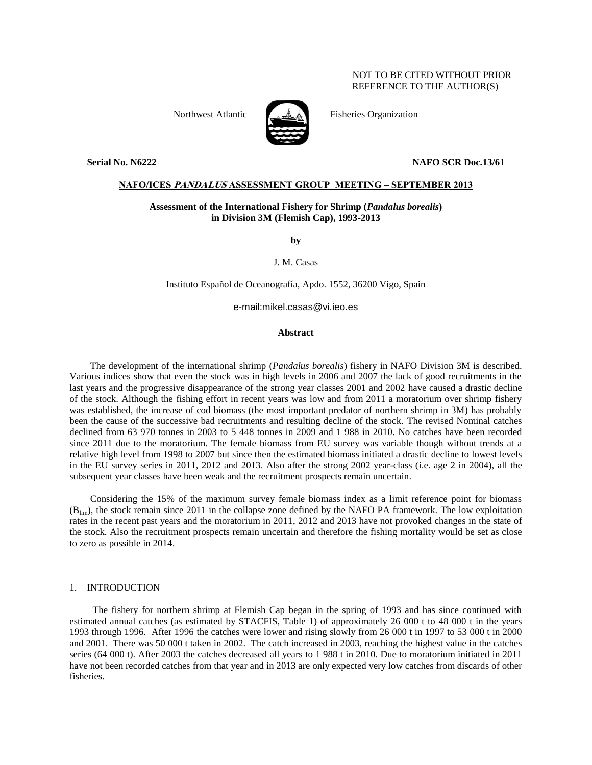# NOT TO BE CITED WITHOUT PRIOR REFERENCE TO THE AUTHOR(S)



Northwest Atlantic Fisheries Organization

#### **Serial No. N6222 NAFO SCR Doc.13/61**

# **NAFO/ICES PANDALUS ASSESSMENT GROUP MEETING – SEPTEMBER 2013**

# **Assessment of the International Fishery for Shrimp (***Pandalus borealis***) in Division 3M (Flemish Cap), 1993-2013**

**by**

J. M. Casas

Instituto Español de Oceanografía, Apdo. 1552, 36200 Vigo, Spain

e-mail:mikel.casas@vi.ieo.es

## **Abstract**

The development of the international shrimp (*Pandalus borealis*) fishery in NAFO Division 3M is described. Various indices show that even the stock was in high levels in 2006 and 2007 the lack of good recruitments in the last years and the progressive disappearance of the strong year classes 2001 and 2002 have caused a drastic decline of the stock. Although the fishing effort in recent years was low and from 2011 a moratorium over shrimp fishery was established, the increase of cod biomass (the most important predator of northern shrimp in 3M) has probably been the cause of the successive bad recruitments and resulting decline of the stock. The revised Nominal catches declined from 63 970 tonnes in 2003 to 5 448 tonnes in 2009 and 1 988 in 2010. No catches have been recorded since 2011 due to the moratorium. The female biomass from EU survey was variable though without trends at a relative high level from 1998 to 2007 but since then the estimated biomass initiated a drastic decline to lowest levels in the EU survey series in 2011, 2012 and 2013. Also after the strong 2002 year-class (i.e. age 2 in 2004), all the subsequent year classes have been weak and the recruitment prospects remain uncertain.

Considering the 15% of the maximum survey female biomass index as a limit reference point for biomass (Blim), the stock remain since 2011 in the collapse zone defined by the NAFO PA framework. The low exploitation rates in the recent past years and the moratorium in 2011, 2012 and 2013 have not provoked changes in the state of the stock. Also the recruitment prospects remain uncertain and therefore the fishing mortality would be set as close to zero as possible in 2014.

## 1. INTRODUCTION

The fishery for northern shrimp at Flemish Cap began in the spring of 1993 and has since continued with estimated annual catches (as estimated by STACFIS, Table 1) of approximately 26 000 t to 48 000 t in the years 1993 through 1996. After 1996 the catches were lower and rising slowly from 26 000 t in 1997 to 53 000 t in 2000 and 2001. There was 50 000 t taken in 2002. The catch increased in 2003, reaching the highest value in the catches series (64 000 t). After 2003 the catches decreased all years to 1 988 t in 2010. Due to moratorium initiated in 2011 have not been recorded catches from that year and in 2013 are only expected very low catches from discards of other fisheries.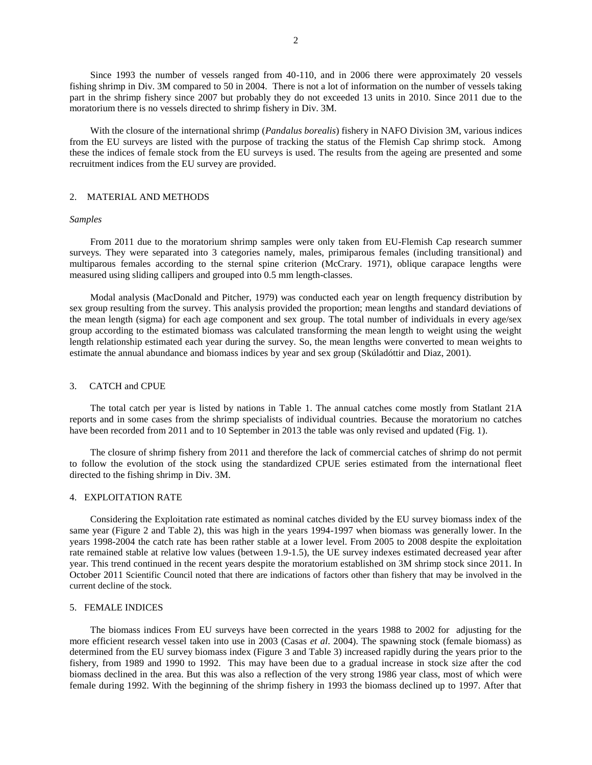Since 1993 the number of vessels ranged from 40-110, and in 2006 there were approximately 20 vessels fishing shrimp in Div. 3M compared to 50 in 2004. There is not a lot of information on the number of vessels taking part in the shrimp fishery since 2007 but probably they do not exceeded 13 units in 2010. Since 2011 due to the moratorium there is no vessels directed to shrimp fishery in Div. 3M.

With the closure of the international shrimp (*Pandalus borealis*) fishery in NAFO Division 3M, various indices from the EU surveys are listed with the purpose of tracking the status of the Flemish Cap shrimp stock. Among these the indices of female stock from the EU surveys is used. The results from the ageing are presented and some recruitment indices from the EU survey are provided.

## 2. MATERIAL AND METHODS

## *Samples*

From 2011 due to the moratorium shrimp samples were only taken from EU-Flemish Cap research summer surveys. They were separated into 3 categories namely, males, primiparous females (including transitional) and multiparous females according to the sternal spine criterion (McCrary. 1971), oblique carapace lengths were measured using sliding callipers and grouped into 0.5 mm length-classes.

Modal analysis (MacDonald and Pitcher, 1979) was conducted each year on length frequency distribution by sex group resulting from the survey. This analysis provided the proportion; mean lengths and standard deviations of the mean length (sigma) for each age component and sex group. The total number of individuals in every age/sex group according to the estimated biomass was calculated transforming the mean length to weight using the weight length relationship estimated each year during the survey. So, the mean lengths were converted to mean weights to estimate the annual abundance and biomass indices by year and sex group (Skúladóttir and Diaz, 2001).

#### 3. CATCH and CPUE

The total catch per year is listed by nations in Table 1. The annual catches come mostly from Statlant 21A reports and in some cases from the shrimp specialists of individual countries. Because the moratorium no catches have been recorded from 2011 and to 10 September in 2013 the table was only revised and updated (Fig. 1).

The closure of shrimp fishery from 2011 and therefore the lack of commercial catches of shrimp do not permit to follow the evolution of the stock using the standardized CPUE series estimated from the international fleet directed to the fishing shrimp in Div. 3M.

## 4. EXPLOITATION RATE

Considering the Exploitation rate estimated as nominal catches divided by the EU survey biomass index of the same year (Figure 2 and Table 2), this was high in the years 1994-1997 when biomass was generally lower. In the years 1998-2004 the catch rate has been rather stable at a lower level. From 2005 to 2008 despite the exploitation rate remained stable at relative low values (between 1.9-1.5), the UE survey indexes estimated decreased year after year. This trend continued in the recent years despite the moratorium established on 3M shrimp stock since 2011. In October 2011 Scientific Council noted that there are indications of factors other than fishery that may be involved in the current decline of the stock.

#### 5. FEMALE INDICES

The biomass indices From EU surveys have been corrected in the years 1988 to 2002 for adjusting for the more efficient research vessel taken into use in 2003 (Casas *et al*. 2004). The spawning stock (female biomass) as determined from the EU survey biomass index (Figure 3 and Table 3) increased rapidly during the years prior to the fishery, from 1989 and 1990 to 1992. This may have been due to a gradual increase in stock size after the cod biomass declined in the area. But this was also a reflection of the very strong 1986 year class, most of which were female during 1992. With the beginning of the shrimp fishery in 1993 the biomass declined up to 1997. After that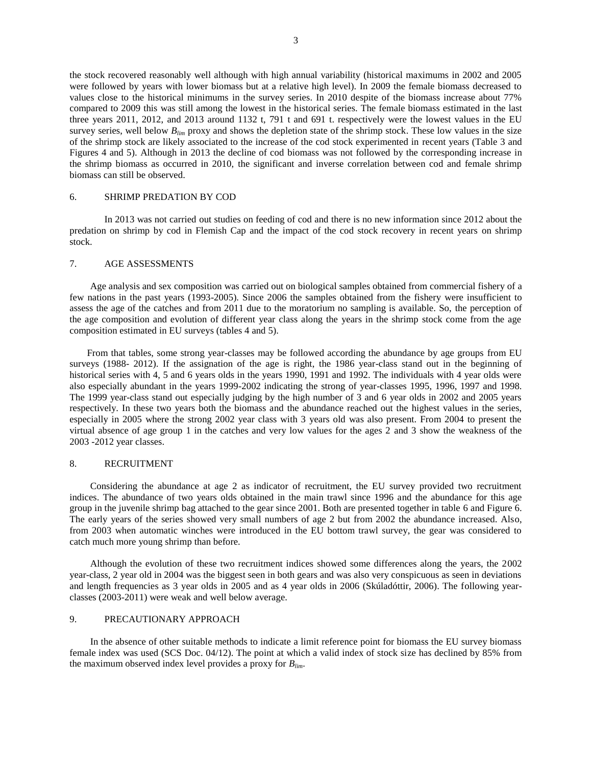the stock recovered reasonably well although with high annual variability (historical maximums in 2002 and 2005 were followed by years with lower biomass but at a relative high level). In 2009 the female biomass decreased to values close to the historical minimums in the survey series. In 2010 despite of the biomass increase about 77% compared to 2009 this was still among the lowest in the historical series. The female biomass estimated in the last three years 2011, 2012, and 2013 around 1132 t, 791 t and 691 t. respectively were the lowest values in the EU survey series, well below  $B_{lim}$  proxy and shows the depletion state of the shrimp stock. These low values in the size of the shrimp stock are likely associated to the increase of the cod stock experimented in recent years (Table 3 and Figures 4 and 5). Although in 2013 the decline of cod biomass was not followed by the corresponding increase in the shrimp biomass as occurred in 2010, the significant and inverse correlation between cod and female shrimp biomass can still be observed.

## 6. SHRIMP PREDATION BY COD

In 2013 was not carried out studies on feeding of cod and there is no new information since 2012 about the predation on shrimp by cod in Flemish Cap and the impact of the cod stock recovery in recent years on shrimp stock.

#### 7. AGE ASSESSMENTS

Age analysis and sex composition was carried out on biological samples obtained from commercial fishery of a few nations in the past years (1993-2005). Since 2006 the samples obtained from the fishery were insufficient to assess the age of the catches and from 2011 due to the moratorium no sampling is available. So, the perception of the age composition and evolution of different year class along the years in the shrimp stock come from the age composition estimated in EU surveys (tables 4 and 5).

From that tables, some strong year-classes may be followed according the abundance by age groups from EU surveys (1988- 2012). If the assignation of the age is right, the 1986 year-class stand out in the beginning of historical series with 4, 5 and 6 years olds in the years 1990, 1991 and 1992. The individuals with 4 year olds were also especially abundant in the years 1999-2002 indicating the strong of year-classes 1995, 1996, 1997 and 1998. The 1999 year-class stand out especially judging by the high number of 3 and 6 year olds in 2002 and 2005 years respectively. In these two years both the biomass and the abundance reached out the highest values in the series, especially in 2005 where the strong 2002 year class with 3 years old was also present. From 2004 to present the virtual absence of age group 1 in the catches and very low values for the ages 2 and 3 show the weakness of the 2003 -2012 year classes.

## 8. RECRUITMENT

Considering the abundance at age 2 as indicator of recruitment, the EU survey provided two recruitment indices. The abundance of two years olds obtained in the main trawl since 1996 and the abundance for this age group in the juvenile shrimp bag attached to the gear since 2001. Both are presented together in table 6 and Figure 6. The early years of the series showed very small numbers of age 2 but from 2002 the abundance increased. Also, from 2003 when automatic winches were introduced in the EU bottom trawl survey, the gear was considered to catch much more young shrimp than before.

Although the evolution of these two recruitment indices showed some differences along the years, the 2002 year-class, 2 year old in 2004 was the biggest seen in both gears and was also very conspicuous as seen in deviations and length frequencies as 3 year olds in 2005 and as 4 year olds in 2006 (Skúladóttir, 2006). The following yearclasses (2003-2011) were weak and well below average.

## 9. PRECAUTIONARY APPROACH

In the absence of other suitable methods to indicate a limit reference point for biomass the EU survey biomass female index was used (SCS Doc. 04/12). The point at which a valid index of stock size has declined by 85% from the maximum observed index level provides a proxy for *Blim*.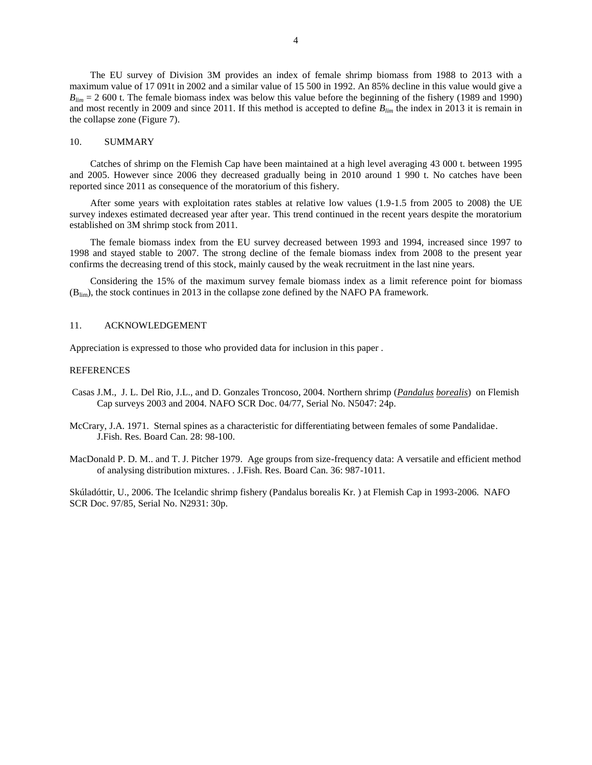The EU survey of Division 3M provides an index of female shrimp biomass from 1988 to 2013 with a maximum value of 17 091t in 2002 and a similar value of 15 500 in 1992. An 85% decline in this value would give a  $B_{lim}$  = 2 600 t. The female biomass index was below this value before the beginning of the fishery (1989 and 1990) and most recently in 2009 and since 2011. If this method is accepted to define  $B_{lim}$  the index in 2013 it is remain in the collapse zone (Figure 7).

### 10. SUMMARY

Catches of shrimp on the Flemish Cap have been maintained at a high level averaging 43 000 t. between 1995 and 2005. However since 2006 they decreased gradually being in 2010 around 1 990 t. No catches have been reported since 2011 as consequence of the moratorium of this fishery.

After some years with exploitation rates stables at relative low values (1.9-1.5 from 2005 to 2008) the UE survey indexes estimated decreased year after year. This trend continued in the recent years despite the moratorium established on 3M shrimp stock from 2011.

The female biomass index from the EU survey decreased between 1993 and 1994, increased since 1997 to 1998 and stayed stable to 2007. The strong decline of the female biomass index from 2008 to the present year confirms the decreasing trend of this stock, mainly caused by the weak recruitment in the last nine years.

Considering the 15% of the maximum survey female biomass index as a limit reference point for biomass (Blim), the stock continues in 2013 in the collapse zone defined by the NAFO PA framework.

## 11. ACKNOWLEDGEMENT

Appreciation is expressed to those who provided data for inclusion in this paper .

## **REFERENCES**

- Casas J.M., J. L. Del Rio, J.L., and D. Gonzales Troncoso, 2004. Northern shrimp (*Pandalus borealis*) on Flemish Cap surveys 2003 and 2004. NAFO SCR Doc. 04/77, Serial No. N5047: 24p.
- McCrary, J.A. 1971. Sternal spines as a characteristic for differentiating between females of some Pandalidae. J.Fish. Res. Board Can. 28: 98-100.
- MacDonald P. D. M.. and T. J. Pitcher 1979. Age groups from size-frequency data: A versatile and efficient method of analysing distribution mixtures. . J.Fish. Res. Board Can. 36: 987-1011.

Skúladóttir, U., 2006. The Icelandic shrimp fishery (Pandalus borealis Kr. ) at Flemish Cap in 1993-2006. NAFO SCR Doc. 97/85, Serial No. N2931: 30p.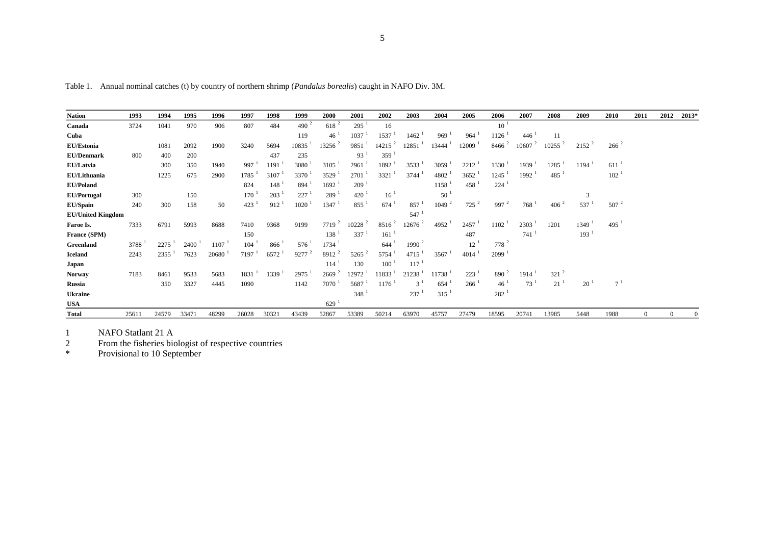|   |         | I  |  |
|---|---------|----|--|
| × | ۰.<br>٠ | ۰. |  |

Table 1. Annual nominal catches (t) by country of northern shrimp (*Pandalus borealis*) caught in NAFO Div. 3M.

| <b>Nation</b>            | 1993  | 1994  | 1995  | 1996  | 1997              | 1998                | 1999          | 2000                | 2001     | 2002                 | 2003                 | 2004               | 2005                 | 2006               | 2007              | 2008                | 2009               | 2010             | 2011         | 2012 | 2013*    |
|--------------------------|-------|-------|-------|-------|-------------------|---------------------|---------------|---------------------|----------|----------------------|----------------------|--------------------|----------------------|--------------------|-------------------|---------------------|--------------------|------------------|--------------|------|----------|
| Canada                   | 3724  | 1041  | 970   | 906   | 807               | 484                 | 490 $^2$      | $618^{2}$           | 295      | 16                   |                      |                    |                      | $10^{-1}$          |                   |                     |                    |                  |              |      |          |
| Cuba                     |       |       |       |       |                   |                     | 119           | 46 <sup>1</sup>     | 1037     | 1537                 | 1462                 | 969                | 964                  | 1126               | 446               | 11                  |                    |                  |              |      |          |
| EU/Estonia               |       | 1081  | 2092  | 1900  | 3240              | 5694                | 10835         | $13256^2$           | 9851     | $14215$ <sup>2</sup> | 12851                | 13444              | $12009$ <sup>1</sup> | 8466 <sup>2</sup>  | 10607             | $10255$ $^{2}$      | $2152^2$           | $266^{2}$        |              |      |          |
| <b>EU/Denmark</b>        | 800   | 400   | 200   |       |                   | 437                 | 235           |                     | 93       | 359                  |                      |                    |                      |                    |                   |                     |                    |                  |              |      |          |
| <b>EU/Latvia</b>         |       | 300   | 350   | 1940  | 997               | 1191                | 3080          | 3105                | 2961     | 1892                 | 3533                 | 3059               | 2212                 | 1330               | 1939 <sup>1</sup> | 1285                | 1194               | 611              |              |      |          |
| EU/Lithuania             |       | 1225  | 675   | 2900  | 1785              | 3107                | 3370          | 3529                | 2701     | 3321                 | $3744$ <sup>1</sup>  | 4802 <sup>1</sup>  | $3652$ <sup>1</sup>  | 1245               | 1992 <sup>1</sup> | $485^{\frac{1}{2}}$ |                    | 102 <sup>1</sup> |              |      |          |
| <b>EU/Poland</b>         |       |       |       |       | 824               | 148                 | 894           | 1692                | 209      |                      |                      | 1158               | 458                  | 224                |                   |                     |                    |                  |              |      |          |
| <b>EU/Portugal</b>       | 300   |       | 150   |       | 170               | 203                 | 227           | 289                 | 420      | 16 <sup>1</sup>      |                      | 50                 |                      |                    |                   |                     |                    |                  |              |      |          |
| <b>EU/Spain</b>          | 240   | 300   | 158   | 50    | 423               | 912                 | 1020          | 1347                | 855      | 674                  | 857                  | 1049 <sup>2</sup>  | $725^2$              | 997 $^2$           | 768               | $406^{2}$           | 537                | $507^2$          |              |      |          |
| <b>EU/United Kingdom</b> |       |       |       |       |                   |                     |               |                     |          |                      | $547^{-1}$           |                    |                      |                    |                   |                     |                    |                  |              |      |          |
| Faroe Is.                | 7333  | 6791  | 5993  | 8688  | 7410              | 9368                | 9199          | $7719^2$            | 10228    | $8516^{2}$           | $12676$ <sup>2</sup> | 4952               | 2457                 | 1102               | 2303              | 1201                | 1349               | 495              |              |      |          |
| France (SPM)             |       |       |       |       | 150               |                     |               | $138-1$             | 337      | 161                  |                      |                    | 487                  |                    | 741               |                     | $193$ <sup>1</sup> |                  |              |      |          |
| Greenland                | 3788  | 2275  | 2400  | 1107  | 104               | 866                 | 576           | $1734$ <sup>1</sup> |          | 644                  | 1990 $^2$            |                    | 12                   | $778^2$            |                   |                     |                    |                  |              |      |          |
| <b>Iceland</b>           | 2243  | 2355  | 7623  | 20680 | 7197 <sup>1</sup> | $6572$ <sup>1</sup> | $9277$ $^{2}$ | $8912^2$            | $5265^2$ | 5754                 | $4715$ <sup>1</sup>  | 3567               | $4014$ <sup>1</sup>  | 2099 <sup>1</sup>  |                   |                     |                    |                  |              |      |          |
| Japan                    |       |       |       |       |                   |                     |               | 114                 | 130      | 100                  | $117^{-1}$           |                    |                      |                    |                   |                     |                    |                  |              |      |          |
| <b>Norway</b>            | 7183  | 8461  | 9533  | 5683  | 1831              | $1339-1$            | 2975          | 2669 <sup>2</sup>   | 12972    | 11833                | 21238                | 11738 <sup>1</sup> | $223-1$              | 890 $^2$           | 1914              | $321^{2}$           |                    |                  |              |      |          |
| Russia                   |       | 350   | 3327  | 4445  | 1090              |                     | 1142          | 7070                | 5687     | 1176                 | $3^1$                | 654                | 266                  | $46^{\frac{1}{2}}$ | $73^1$            | 21                  | 20                 | 7 <sup>1</sup>   |              |      |          |
| <b>Ukraine</b>           |       |       |       |       |                   |                     |               |                     | 348      |                      | 237                  | $315^{-1}$         |                      | 282 <sup>1</sup>   |                   |                     |                    |                  |              |      |          |
| <b>USA</b>               |       |       |       |       |                   |                     |               | 629 <sup>1</sup>    |          |                      |                      |                    |                      |                    |                   |                     |                    |                  |              |      |          |
| <b>Total</b>             | 25611 | 24579 | 33471 | 48299 | 26028             | 30321               | 43439         | 52867               | 53389    | 50214                | 63970                | 45757              | 27479                | 18595              | 20741             | 13985               | 5448               | 1988             | $\mathbf{0}$ |      | $\Omega$ |

1 NAFO Statlant 21 A<br>2 From the fisheries bic<br><sup>\*</sup> Provisional to 10 Sep 2 From the fisheries biologist of respective countries

\* Provisional to 10 September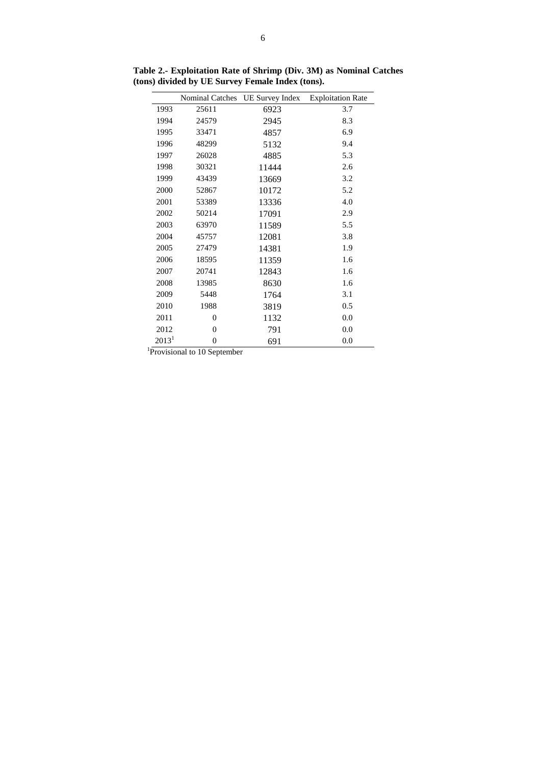|          | Nominal Catches | <b>UE Survey Index</b> | <b>Exploitation Rate</b> |
|----------|-----------------|------------------------|--------------------------|
| 1993     | 25611           | 6923                   | 3.7                      |
| 1994     | 24579           | 2945                   | 8.3                      |
| 1995     | 33471           | 4857                   | 6.9                      |
| 1996     | 48299           | 5132                   | 9.4                      |
| 1997     | 26028           | 4885                   | 5.3                      |
| 1998     | 30321           | 11444                  | 2.6                      |
| 1999     | 43439           | 13669                  | 3.2                      |
| 2000     | 52867           | 10172                  | 5.2                      |
| 2001     | 53389           | 13336                  | 4.0                      |
| 2002     | 50214           | 17091                  | 2.9                      |
| 2003     | 63970           | 11589                  | 5.5                      |
| 2004     | 45757           | 12081                  | 3.8                      |
| 2005     | 27479           | 14381                  | 1.9                      |
| 2006     | 18595           | 11359                  | 1.6                      |
| 2007     | 20741           | 12843                  | 1.6                      |
| 2008     | 13985           | 8630                   | 1.6                      |
| 2009     | 5448            | 1764                   | 3.1                      |
| 2010     | 1988            | 3819                   | 0.5                      |
| 2011     | 0               | 1132                   | 0.0                      |
| 2012     | 0               | 791                    | 0.0                      |
| $2013^1$ | $\overline{0}$  | 691                    | 0.0                      |

**Table 2.- Exploitation Rate of Shrimp (Div. 3M) as Nominal Catches (tons) divided by UE Survey Female Index (tons).** 

<sup>1</sup>Provisional to 10 September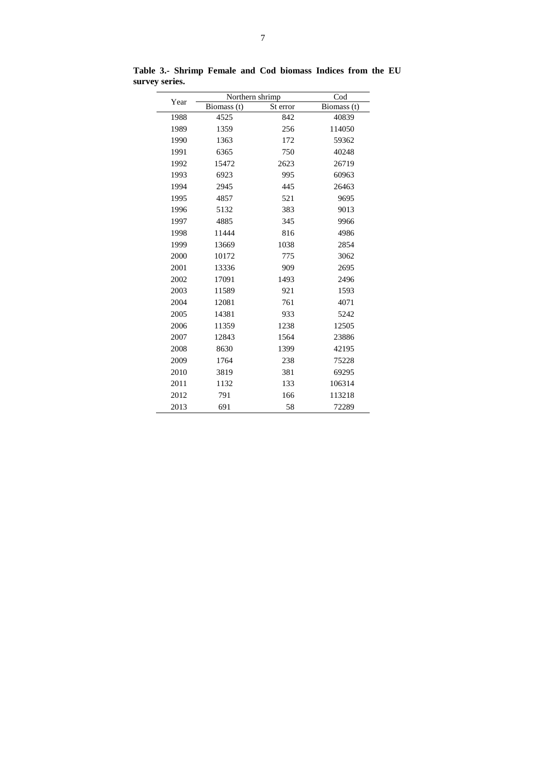| Year | Northern shrimp |          | Cod         |
|------|-----------------|----------|-------------|
|      | Biomass (t)     | St error | Biomass (t) |
| 1988 | 4525            | 842      | 40839       |
| 1989 | 1359            | 256      | 114050      |
| 1990 | 1363            | 172      | 59362       |
| 1991 | 6365            | 750      | 40248       |
| 1992 | 15472           | 2623     | 26719       |
| 1993 | 6923            | 995      | 60963       |
| 1994 | 2945            | 445      | 26463       |
| 1995 | 4857            | 521      | 9695        |
| 1996 | 5132            | 383      | 9013        |
| 1997 | 4885            | 345      | 9966        |
| 1998 | 11444           | 816      | 4986        |
| 1999 | 13669           | 1038     | 2854        |
| 2000 | 10172           | 775      | 3062        |
| 2001 | 13336           | 909      | 2695        |
| 2002 | 17091           | 1493     | 2496        |
| 2003 | 11589           | 921      | 1593        |
| 2004 | 12081           | 761      | 4071        |
| 2005 | 14381           | 933      | 5242        |
| 2006 | 11359           | 1238     | 12505       |
| 2007 | 12843           | 1564     | 23886       |
| 2008 | 8630            | 1399     | 42195       |
| 2009 | 1764            | 238      | 75228       |
| 2010 | 3819            | 381      | 69295       |
| 2011 | 1132            | 133      | 106314      |
| 2012 | 791             | 166      | 113218      |
| 2013 | 691             | 58       | 72289       |

**Table 3.- Shrimp Female and Cod biomass Indices from the EU survey series.**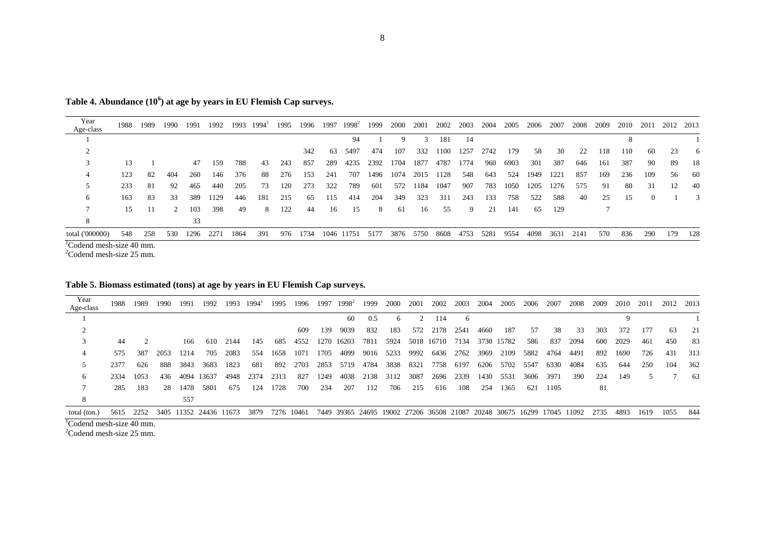**Table 4. Abundance (10<sup>6</sup> ) at age by years in EU Flemish Cap surveys.**

| Year<br>Age-class  | 1988 | 1989 | 1990        | 1991 | 1992 |      | 1993 1994 | 1995 | 1996     | 1997 | $1998^2$                  |      | 1999 2000 | 2001 |      | 2002 2003 | 2004 | 2005 | 2006 | 2007 | 2008 | 2009 | 2010 | 2011     | 2012 2013 |      |
|--------------------|------|------|-------------|------|------|------|-----------|------|----------|------|---------------------------|------|-----------|------|------|-----------|------|------|------|------|------|------|------|----------|-----------|------|
|                    |      |      |             |      |      |      |           |      |          |      | 94                        |      | 9         | 3    | 181  | 14        |      |      |      |      |      |      |      |          |           |      |
|                    |      |      |             |      |      |      |           |      | 342      | -63  | 5497                      | 474  | 107       | 332  | 1100 | 1257      | 2742 | 179  | 58   | 30   | 22   | 118  | 110  | -60      | 23        | -6   |
| 3                  | 13   |      |             | 47   | 159  | 788  | 43        | 243  | 857      | 289  | 4235                      | 2392 | 1704      | 1877 | 4787 | 1774      | 960  | 6903 | 301  | 387  | 646  | 161  | 387  | -90      | 89        | -18  |
| 4                  | 123  | 82   | 404         | 260  | 146  | 376  | -88       | 276  | 153      | 241  | 707                       | 1496 | 1074      | 2015 | 1128 | 548       | 643  | 524  | 1949 | 1221 | 857  | 169  | 236  | 109      | 56        | - 60 |
|                    | 233  | -81  | 92          | 465  | 440  | 205  | 73        | 120  | 273      | 322  | 789                       | 601  | 572       | 1184 | 1047 | 907       | 783  | 1050 | 1205 | 1276 | 575  | 91   | 80   | 31       | 12        | 40   |
| 6                  | 163  | -83  | 33          | 389  | 1129 | 446  | 181       | 215  | -65      | 115  | 414                       | 204  | 349       | 323  | 311  | 243       | 133  | 758  | 522  | 588  | 40   | 25   | -15  | $\Omega$ |           | 3    |
|                    | 15   | 11   | $2^{\circ}$ | 103  | 398  | 49   | 8         | 122  | 44       | 16   | -15                       | 8    | -61       | 16   | 55   | 9         | 21   | 141  | 65   | 129  |      |      |      |          |           |      |
| 8                  |      |      |             | 33   |      |      |           |      |          |      |                           |      |           |      |      |           |      |      |      |      |      |      |      |          |           |      |
| total ('000000)    | 548  | 258  | 530         | 1296 | 2271 | 1864 | 391       |      | 976 1734 |      | 1046 11751 5177 3876 5750 |      |           |      | 8608 | 4753      | 5281 | 9554 | 4098 | 3631 | 2141 | 570  | 836  | 290      | 179       | 128  |
| $10.1 \t1.1 \t1.0$ |      |      |             |      |      |      |           |      |          |      |                           |      |           |      |      |           |      |      |      |      |      |      |      |          |           |      |

<sup>1</sup>Codend mesh-size 40 mm.

Codend mesh-size 25 mm.

# **Table 5. Biomass estimated (tons) at age by years in EU Flemish Cap surveys.**

| Year         | 1988      | 1989 | 1990 | 1991 | 1992                   | 1993 | $1994^{\text{T}}$ | 1995 | 1996       |      | 1997 1998 <sup>2</sup> | 1999 | 2000 2001 |           | 2002       | 2003 | 2004                                                                   | 2005       | 2006 | 2007 | 2008 | 2009 | 2010 | 2011   | 2012 | 2013  |
|--------------|-----------|------|------|------|------------------------|------|-------------------|------|------------|------|------------------------|------|-----------|-----------|------------|------|------------------------------------------------------------------------|------------|------|------|------|------|------|--------|------|-------|
| Age-class    |           |      |      |      |                        |      |                   |      |            |      |                        |      |           |           |            |      |                                                                        |            |      |      |      |      |      |        |      |       |
|              |           |      |      |      |                        |      |                   |      |            |      | 60                     | 0.5  | 6         |           | 114        | 6    |                                                                        |            |      |      |      |      |      |        |      |       |
|              |           |      |      |      |                        |      |                   |      | 609        | 139  | 9039                   | 832  | 183       | 572       | 2178       | 2541 | 4660                                                                   | 187        | .57  | 38   | 33   | 303  | 372  | 177    | 63   | 21    |
|              | 44        |      |      | 166  | 610                    | 2144 | 145               | 685  | 4552       |      | 1270 16203             | 7811 | 5924      |           | 5018 16710 | 7134 |                                                                        | 3730 15782 | 586  | 837  | 2094 | -600 | 2029 | 461    | 450  | 83    |
|              | 575       | 387  | 2053 | 1214 | 705                    | 2083 | 554               | 1658 | 1071       | 1705 | 4099                   | 9016 | 5233      | 9992      | 6436       | 2762 | 3969                                                                   | 2109       | 5882 | 4764 | 4491 | 892  | 1690 | 726    | 431  | 313   |
|              | 2377      | 626  | 888  | 3843 | 3683                   | 1823 | -681              | 892  | 2703       |      | 2853 5719              | 4784 |           | 3838 8321 | 7758       | 6197 | 6206                                                                   | 5702       | 5547 | 6330 | 4084 | 635  | 644  | 250    | 104  | 362   |
| <sub>6</sub> | 2334 1053 |      | 436  | 4094 | 13637                  | 4948 | 2374              | 2313 | 827        | 1249 | 4038                   | 2138 | 3112      | 3087      | 2696       | 2339 | 1430                                                                   | 5531       | 3606 | 3971 | 390  | 224  | 149  | $\sim$ |      | 63    |
|              | 285       | 183  | 28   | 1478 | 5801                   | 675  | 124               | 1728 | 700        | 234  | 207                    | 112  | 706       | 215       | 616        | 108  | 254                                                                    | 1365       | 621  | 1105 |      | -81  |      |        |      |       |
| 8            |           |      |      | 557  |                        |      |                   |      |            |      |                        |      |           |           |            |      |                                                                        |            |      |      |      |      |      |        |      |       |
| total (ton.) | 5615      | 2252 |      |      | 3405 11352 24436 11673 |      | 3879              |      | 7276 10461 |      |                        |      |           |           |            |      | 7449 39365 24695 19002 27206 36508 21087 20248 30675 16299 17045 11092 |            |      |      |      | 2735 | 4893 | 1619   | 1055 | - 844 |

<sup>1</sup>Codend mesh-size 40 mm.

 ${}^{2}$ Codend mesh-size 25 mm.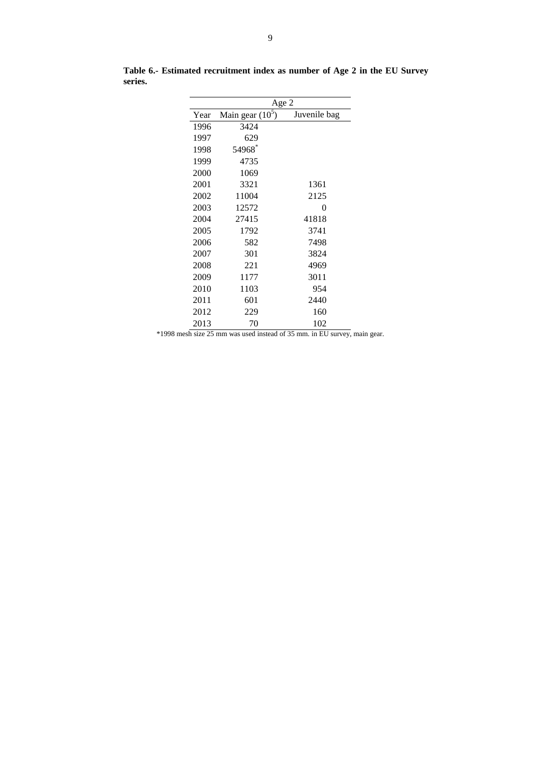|      | Age 2                         |              |  |  |  |  |  |  |  |
|------|-------------------------------|--------------|--|--|--|--|--|--|--|
| Year | Main gear $(\overline{10^5})$ | Juvenile bag |  |  |  |  |  |  |  |
| 1996 | 3424                          |              |  |  |  |  |  |  |  |
| 1997 | 629                           |              |  |  |  |  |  |  |  |
| 1998 | 54968*                        |              |  |  |  |  |  |  |  |
| 1999 | 4735                          |              |  |  |  |  |  |  |  |
| 2000 | 1069                          |              |  |  |  |  |  |  |  |
| 2001 | 3321                          | 1361         |  |  |  |  |  |  |  |
| 2002 | 11004                         | 2125         |  |  |  |  |  |  |  |
| 2003 | 12572                         | 0            |  |  |  |  |  |  |  |
| 2004 | 27415                         | 41818        |  |  |  |  |  |  |  |
| 2005 | 1792                          | 3741         |  |  |  |  |  |  |  |
| 2006 | 582                           | 7498         |  |  |  |  |  |  |  |
| 2007 | 301                           | 3824         |  |  |  |  |  |  |  |
| 2008 | 221                           | 4969         |  |  |  |  |  |  |  |
| 2009 | 1177                          | 3011         |  |  |  |  |  |  |  |
| 2010 | 1103                          | 954          |  |  |  |  |  |  |  |
| 2011 | 601                           | 2440         |  |  |  |  |  |  |  |
| 2012 | 229                           | 160          |  |  |  |  |  |  |  |
| 2013 | 70                            | 102          |  |  |  |  |  |  |  |

**Table 6.- Estimated recruitment index as number of Age 2 in the EU Survey series.**

\*1998 mesh size 25 mm was used instead of 35 mm. in EU survey, main gear.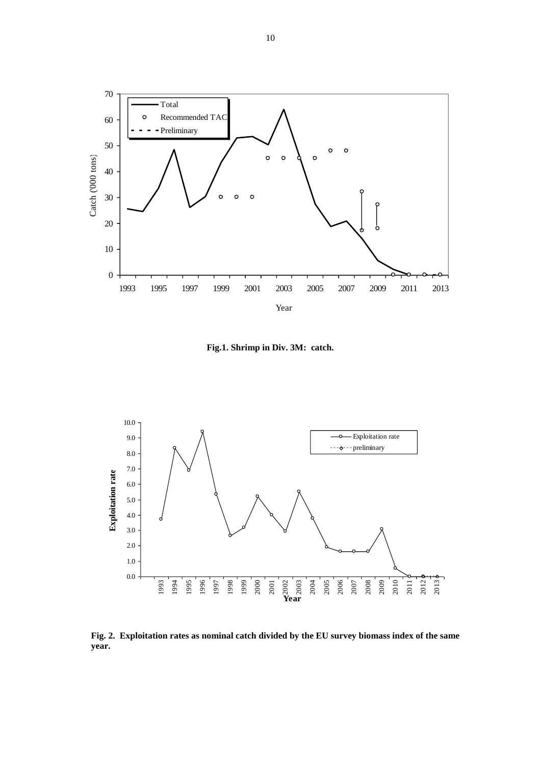

**Fig.1. Shrimp in Div. 3M: catch.**



**Fig. 2. Exploitation rates as nominal catch divided by the EU survey biomass index of the same year.**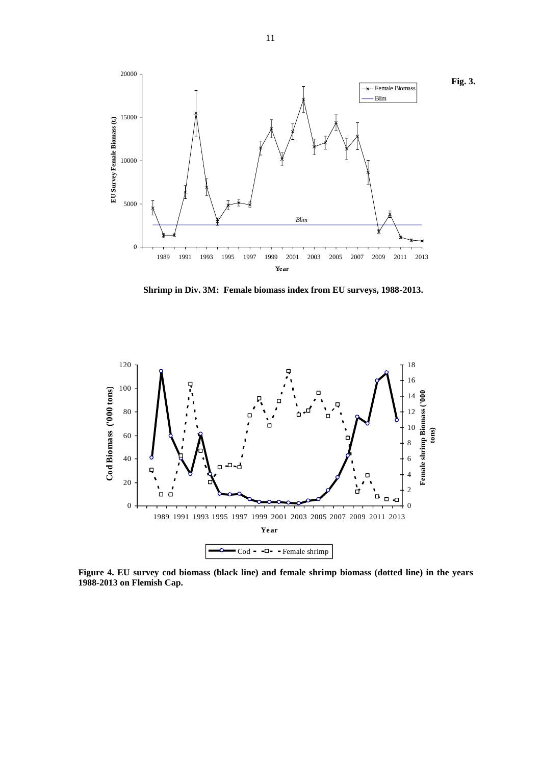

**Shrimp in Div. 3M: Female biomass index from EU surveys, 1988-2013.**



**Figure 4. EU survey cod biomass (black line) and female shrimp biomass (dotted line) in the years 1988-2013 on Flemish Cap.**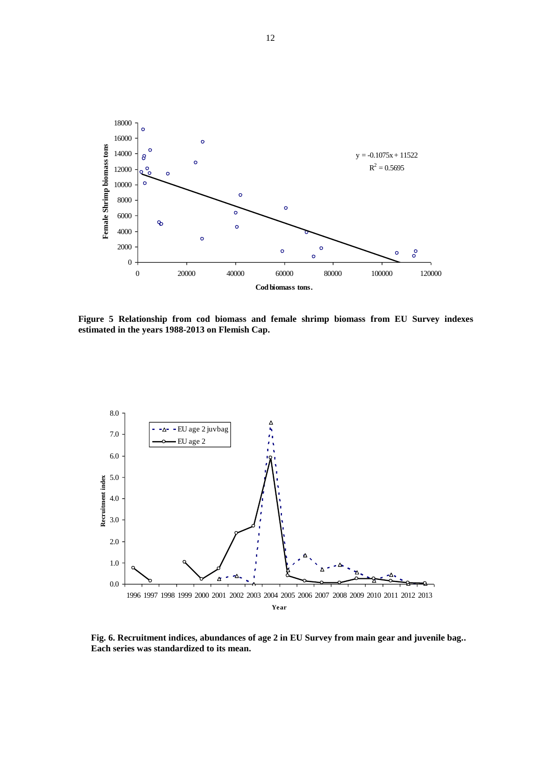

**Figure 5 Relationship from cod biomass and female shrimp biomass from EU Survey indexes estimated in the years 1988-2013 on Flemish Cap.**



**Fig. 6. Recruitment indices, abundances of age 2 in EU Survey from main gear and juvenile bag.. Each series was standardized to its mean.**